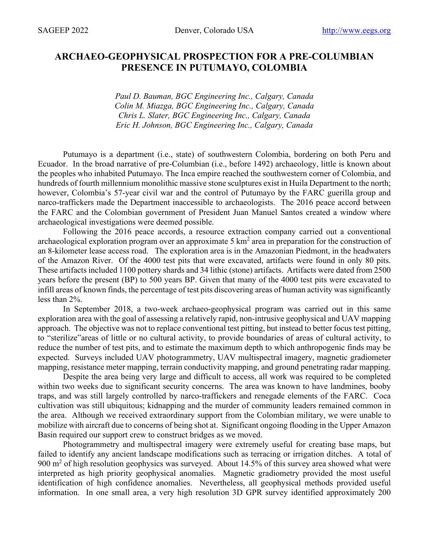## **ARCHAEO-GEOPHYSICAL PROSPECTION FOR A PRE-COLUMBIAN PRESENCE IN PUTUMAYO, COLOMBIA**

*Paul D. Bauman, BGC Engineering Inc., Calgary, Canada Colin M. Miazga, BGC Engineering Inc., Calgary, Canada Chris L. Slater, BGC Engineering Inc., Calgary, Canada Eric H. Johnson, BGC Engineering Inc., Calgary, Canada*

Putumayo is a department (i.e., state) of southwestern Colombia, bordering on both Peru and Ecuador. In the broad narrative of pre-Columbian (i.e., before 1492) archaeology, little is known about the peoples who inhabited Putumayo. The Inca empire reached the southwestern corner of Colombia, and hundreds of fourth millennium monolithic massive stone sculptures exist in Huila Department to the north; however, Colombia's 57-year civil war and the control of Putumayo by the FARC guerilla group and narco-traffickers made the Department inaccessible to archaeologists. The 2016 peace accord between the FARC and the Colombian government of President Juan Manuel Santos created a window where archaeological investigations were deemed possible.

Following the 2016 peace accords, a resource extraction company carried out a conventional archaeological exploration program over an approximate 5  $km<sup>2</sup>$  area in preparation for the construction of an 8-kilometer lease access road. The exploration area is in the Amazonian Piedmont, in the headwaters of the Amazon River. Of the 4000 test pits that were excavated, artifacts were found in only 80 pits. These artifacts included 1100 pottery shards and 34 lithic (stone) artifacts. Artifacts were dated from 2500 years before the present (BP) to 500 years BP. Given that many of the 4000 test pits were excavated to infill areas of known finds, the percentage of test pits discovering areas of human activity was significantly less than 2%.

In September 2018, a two-week archaeo-geophysical program was carried out in this same exploration area with the goal of assessing a relatively rapid, non-intrusive geophysical and UAV mapping approach. The objective was not to replace conventional test pitting, but instead to better focus test pitting, to "sterilize"areas of little or no cultural activity, to provide boundaries of areas of cultural activity, to reduce the number of test pits, and to estimate the maximum depth to which anthropogenic finds may be expected. Surveys included UAV photogrammetry, UAV multispectral imagery, magnetic gradiometer mapping, resistance meter mapping, terrain conductivity mapping, and ground penetrating radar mapping.

Despite the area being very large and difficult to access, all work was required to be completed within two weeks due to significant security concerns. The area was known to have landmines, booby traps, and was still largely controlled by narco-traffickers and renegade elements of the FARC. Coca cultivation was still ubiquitous; kidnapping and the murder of community leaders remained common in the area. Although we received extraordinary support from the Colombian military, we were unable to mobilize with aircraft due to concerns of being shot at. Significant ongoing flooding in the Upper Amazon Basin required our support crew to construct bridges as we moved.

Photogrammetry and multispectral imagery were extremely useful for creating base maps, but failed to identify any ancient landscape modifications such as terracing or irrigation ditches. A total of  $900 \text{ m}^2$  of high resolution geophysics was surveyed. About 14.5% of this survey area showed what were interpreted as high priority geophysical anomalies. Magnetic gradiometry provided the most useful identification of high confidence anomalies. Nevertheless, all geophysical methods provided useful information. In one small area, a very high resolution 3D GPR survey identified approximately 200